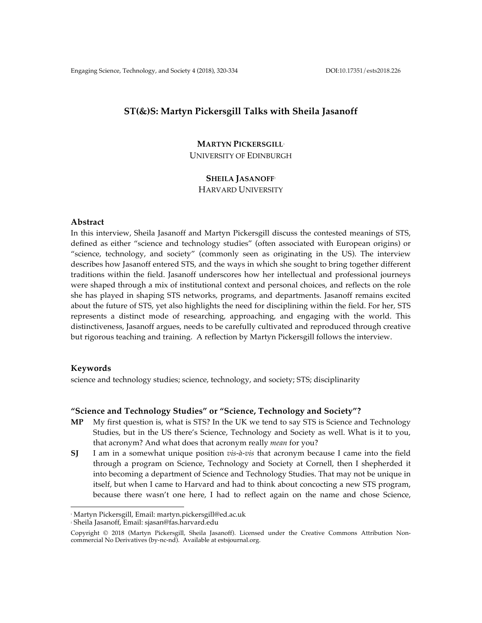# **ST(&)S: Martyn Pickersgill Talks with Sheila Jasanoff**

# **MARTYN PICKERSGILL**<sup>1</sup> UNIVERSITY OF EDINBURGH

## **SHEILA JASANOFF**<sup>2</sup>

HARVARD UNIVERSITY

#### **Abstract**

In this interview, Sheila Jasanoff and Martyn Pickersgill discuss the contested meanings of STS, defined as either "science and technology studies" (often associated with European origins) or "science, technology, and society" (commonly seen as originating in the US). The interview describes how Jasanoff entered STS, and the ways in which she sought to bring together different traditions within the field. Jasanoff underscores how her intellectual and professional journeys were shaped through a mix of institutional context and personal choices, and reflects on the role she has played in shaping STS networks, programs, and departments. Jasanoff remains excited about the future of STS, yet also highlights the need for disciplining within the field. For her, STS represents a distinct mode of researching, approaching, and engaging with the world. This distinctiveness, Jasanoff argues, needs to be carefully cultivated and reproduced through creative but rigorous teaching and training. A reflection by Martyn Pickersgill follows the interview.

# **Keywords**

science and technology studies; science, technology, and society; STS; disciplinarity

# **"Science and Technology Studies" or "Science, Technology and Society"?**

- **MP** My first question is, what is STS? In the UK we tend to say STS is Science and Technology Studies, but in the US there's Science, Technology and Society as well. What is it to you, that acronym? And what does that acronym really *mean* for you?
- **SJ** I am in a somewhat unique position *vis-à-vis* that acronym because I came into the field through a program on Science, Technology and Society at Cornell, then I shepherded it into becoming a department of Science and Technology Studies. That may not be unique in itself, but when I came to Harvard and had to think about concocting a new STS program, because there wasn't one here, I had to reflect again on the name and chose Science,

 

<sup>1</sup> Martyn Pickersgill, Email: martyn.pickersgill@ed.ac.uk

<sup>2</sup> Sheila Jasanoff, Email: sjasan@fas.harvard.edu

Copyright © 2018 (Martyn Pickersgill, Sheila Jasanoff). Licensed under the Creative Commons Attribution Noncommercial No Derivatives (by-nc-nd). Available at estsjournal.org.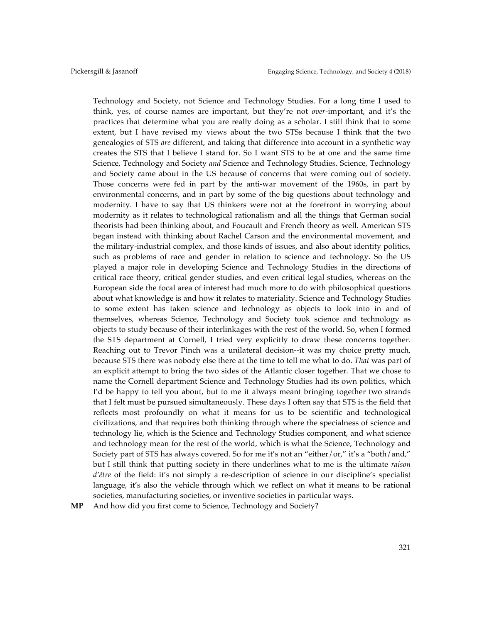Technology and Society, not Science and Technology Studies. For a long time I used to think, yes, of course names are important, but they're not *over*-important, and it's the practices that determine what you are really doing as a scholar. I still think that to some extent, but I have revised my views about the two STSs because I think that the two genealogies of STS *are* different, and taking that difference into account in a synthetic way creates the STS that I believe I stand for. So I want STS to be at one and the same time Science, Technology and Society *and* Science and Technology Studies. Science, Technology and Society came about in the US because of concerns that were coming out of society. Those concerns were fed in part by the anti-war movement of the 1960s, in part by environmental concerns, and in part by some of the big questions about technology and modernity. I have to say that US thinkers were not at the forefront in worrying about modernity as it relates to technological rationalism and all the things that German social theorists had been thinking about, and Foucault and French theory as well. American STS began instead with thinking about Rachel Carson and the environmental movement, and the military-industrial complex, and those kinds of issues, and also about identity politics, such as problems of race and gender in relation to science and technology. So the US played a major role in developing Science and Technology Studies in the directions of critical race theory, critical gender studies, and even critical legal studies, whereas on the European side the focal area of interest had much more to do with philosophical questions about what knowledge is and how it relates to materiality. Science and Technology Studies to some extent has taken science and technology as objects to look into in and of themselves, whereas Science, Technology and Society took science and technology as objects to study because of their interlinkages with the rest of the world. So, when I formed the STS department at Cornell, I tried very explicitly to draw these concerns together. Reaching out to Trevor Pinch was a unilateral decision--it was my choice pretty much, because STS there was nobody else there at the time to tell me what to do. *That* was part of an explicit attempt to bring the two sides of the Atlantic closer together. That we chose to name the Cornell department Science and Technology Studies had its own politics, which I'd be happy to tell you about, but to me it always meant bringing together two strands that I felt must be pursued simultaneously. These days I often say that STS is the field that reflects most profoundly on what it means for us to be scientific and technological civilizations, and that requires both thinking through where the specialness of science and technology lie, which is the Science and Technology Studies component, and what science and technology mean for the rest of the world, which is what the Science, Technology and Society part of STS has always covered. So for me it's not an "either/or," it's a "both/and," but I still think that putting society in there underlines what to me is the ultimate *raison d'être* of the field: it's not simply a re-description of science in our discipline's specialist language, it's also the vehicle through which we reflect on what it means to be rational societies, manufacturing societies, or inventive societies in particular ways.

**MP** And how did you first come to Science, Technology and Society?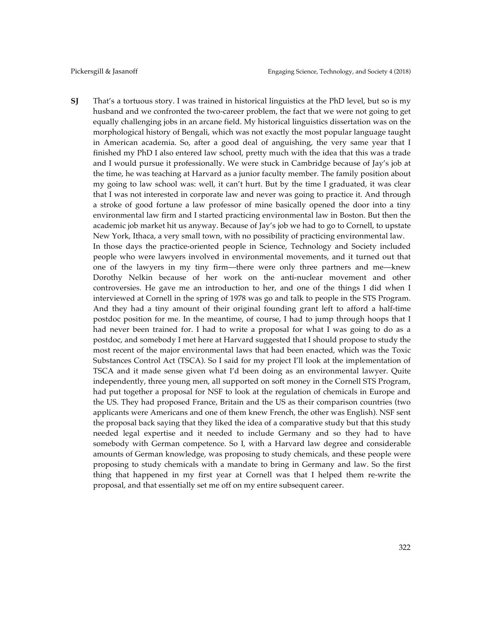**SJ** That's a tortuous story. I was trained in historical linguistics at the PhD level, but so is my husband and we confronted the two-career problem, the fact that we were not going to get equally challenging jobs in an arcane field. My historical linguistics dissertation was on the morphological history of Bengali, which was not exactly the most popular language taught in American academia. So, after a good deal of anguishing, the very same year that I finished my PhD I also entered law school, pretty much with the idea that this was a trade and I would pursue it professionally. We were stuck in Cambridge because of Jay's job at the time, he was teaching at Harvard as a junior faculty member. The family position about my going to law school was: well, it can't hurt. But by the time I graduated, it was clear that I was not interested in corporate law and never was going to practice it. And through a stroke of good fortune a law professor of mine basically opened the door into a tiny environmental law firm and I started practicing environmental law in Boston. But then the academic job market hit us anyway. Because of Jay's job we had to go to Cornell, to upstate New York, Ithaca, a very small town, with no possibility of practicing environmental law. In those days the practice-oriented people in Science, Technology and Society included people who were lawyers involved in environmental movements, and it turned out that one of the lawyers in my tiny firm––there were only three partners and me––knew Dorothy Nelkin because of her work on the anti-nuclear movement and other controversies. He gave me an introduction to her, and one of the things I did when I interviewed at Cornell in the spring of 1978 was go and talk to people in the STS Program. And they had a tiny amount of their original founding grant left to afford a half-time postdoc position for me. In the meantime, of course, I had to jump through hoops that I had never been trained for. I had to write a proposal for what I was going to do as a postdoc, and somebody I met here at Harvard suggested that I should propose to study the most recent of the major environmental laws that had been enacted, which was the Toxic Substances Control Act (TSCA). So I said for my project I'll look at the implementation of TSCA and it made sense given what I'd been doing as an environmental lawyer. Quite independently, three young men, all supported on soft money in the Cornell STS Program, had put together a proposal for NSF to look at the regulation of chemicals in Europe and the US. They had proposed France, Britain and the US as their comparison countries (two applicants were Americans and one of them knew French, the other was English). NSF sent the proposal back saying that they liked the idea of a comparative study but that this study needed legal expertise and it needed to include Germany and so they had to have somebody with German competence. So I, with a Harvard law degree and considerable amounts of German knowledge, was proposing to study chemicals, and these people were proposing to study chemicals with a mandate to bring in Germany and law. So the first thing that happened in my first year at Cornell was that I helped them re-write the proposal, and that essentially set me off on my entire subsequent career.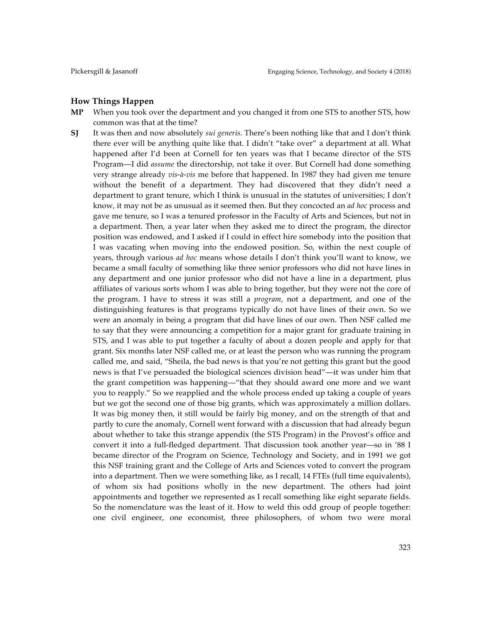### **How Things Happen**

- **MP** When you took over the department and you changed it from one STS to another STS, how common was that at the time?
- **SJ** It was then and now absolutely *sui generis*. There's been nothing like that and I don't think there ever will be anything quite like that. I didn't "take over" a department at all. What happened after I'd been at Cornell for ten years was that I became director of the STS Program––I did *assume* the directorship, not take it over. But Cornell had done something very strange already *vis-à-vis* me before that happened. In 1987 they had given me tenure without the benefit of a department. They had discovered that they didn't need a department to grant tenure, which I think is unusual in the statutes of universities; I don't know, it may not be as unusual as it seemed then. But they concocted an *ad hoc* process and gave me tenure, so I was a tenured professor in the Faculty of Arts and Sciences, but not in a department. Then, a year later when they asked me to direct the program, the director position was endowed, and I asked if I could in effect hire somebody into the position that I was vacating when moving into the endowed position. So, within the next couple of years, through various *ad hoc* means whose details I don't think you'll want to know, we became a small faculty of something like three senior professors who did not have lines in any department and one junior professor who did not have a line in a department, plus affiliates of various sorts whom I was able to bring together, but they were not the core of the program. I have to stress it was still a *program*, not a department, and one of the distinguishing features is that programs typically do not have lines of their own. So we were an anomaly in being a program that did have lines of our own. Then NSF called me to say that they were announcing a competition for a major grant for graduate training in STS, and I was able to put together a faculty of about a dozen people and apply for that grant. Six months later NSF called me, or at least the person who was running the program called me, and said, "Sheila, the bad news is that you're not getting this grant but the good news is that I've persuaded the biological sciences division head"––it was under him that the grant competition was happening––"that they should award one more and we want you to reapply." So we reapplied and the whole process ended up taking a couple of years but we got the second one of those big grants, which was approximately a million dollars. It was big money then, it still would be fairly big money, and on the strength of that and partly to cure the anomaly, Cornell went forward with a discussion that had already begun about whether to take this strange appendix (the STS Program) in the Provost's office and convert it into a full-fledged department. That discussion took another year––so in '88 I became director of the Program on Science, Technology and Society, and in 1991 we got this NSF training grant and the College of Arts and Sciences voted to convert the program into a department. Then we were something like, as I recall, 14 FTEs (full time equivalents), of whom six had positions wholly in the new department. The others had joint appointments and together we represented as I recall something like eight separate fields. So the nomenclature was the least of it. How to weld this odd group of people together: one civil engineer, one economist, three philosophers, of whom two were moral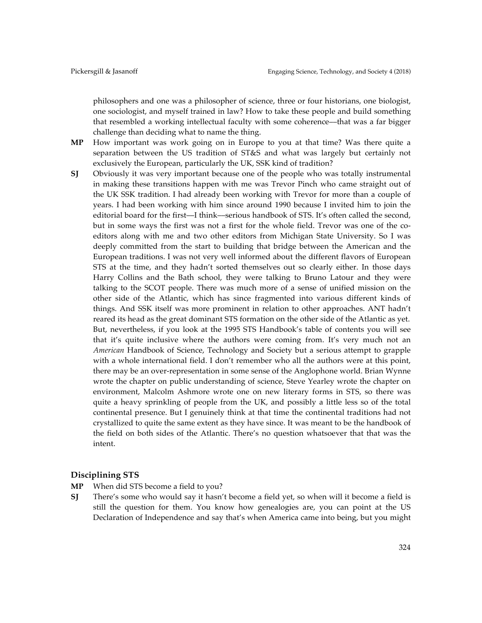philosophers and one was a philosopher of science, three or four historians, one biologist, one sociologist, and myself trained in law? How to take these people and build something that resembled a working intellectual faculty with some coherence––that was a far bigger challenge than deciding what to name the thing.

- **MP** How important was work going on in Europe to you at that time? Was there quite a separation between the US tradition of ST&S and what was largely but certainly not exclusively the European, particularly the UK, SSK kind of tradition?
- **SJ** Obviously it was very important because one of the people who was totally instrumental in making these transitions happen with me was Trevor Pinch who came straight out of the UK SSK tradition. I had already been working with Trevor for more than a couple of years. I had been working with him since around 1990 because I invited him to join the editorial board for the first––I think––serious handbook of STS. It's often called the second, but in some ways the first was not a first for the whole field. Trevor was one of the coeditors along with me and two other editors from Michigan State University. So I was deeply committed from the start to building that bridge between the American and the European traditions. I was not very well informed about the different flavors of European STS at the time, and they hadn't sorted themselves out so clearly either. In those days Harry Collins and the Bath school, they were talking to Bruno Latour and they were talking to the SCOT people. There was much more of a sense of unified mission on the other side of the Atlantic, which has since fragmented into various different kinds of things. And SSK itself was more prominent in relation to other approaches. ANT hadn't reared its head as the great dominant STS formation on the other side of the Atlantic as yet. But, nevertheless, if you look at the 1995 STS Handbook's table of contents you will see that it's quite inclusive where the authors were coming from. It's very much not an *American* Handbook of Science, Technology and Society but a serious attempt to grapple with a whole international field. I don't remember who all the authors were at this point, there may be an over-representation in some sense of the Anglophone world. Brian Wynne wrote the chapter on public understanding of science, Steve Yearley wrote the chapter on environment, Malcolm Ashmore wrote one on new literary forms in STS, so there was quite a heavy sprinkling of people from the UK, and possibly a little less so of the total continental presence. But I genuinely think at that time the continental traditions had not crystallized to quite the same extent as they have since. It was meant to be the handbook of the field on both sides of the Atlantic. There's no question whatsoever that that was the intent.

## **Disciplining STS**

- **MP** When did STS become a field to you?
- **SJ** There's some who would say it hasn't become a field yet, so when will it become a field is still the question for them. You know how genealogies are, you can point at the US Declaration of Independence and say that's when America came into being, but you might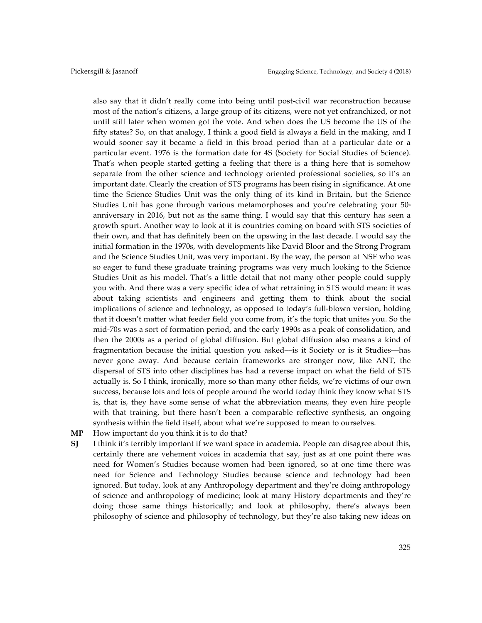also say that it didn't really come into being until post-civil war reconstruction because most of the nation's citizens, a large group of its citizens, were not yet enfranchized, or not until still later when women got the vote. And when does the US become the US of the fifty states? So, on that analogy, I think a good field is always a field in the making, and I would sooner say it became a field in this broad period than at a particular date or a particular event. 1976 is the formation date for 4S (Society for Social Studies of Science). That's when people started getting a feeling that there is a thing here that is somehow separate from the other science and technology oriented professional societies, so it's an important date. Clearly the creation of STS programs has been rising in significance. At one time the Science Studies Unit was the only thing of its kind in Britain, but the Science Studies Unit has gone through various metamorphoses and you're celebrating your  $50<sup>th</sup>$ anniversary in 2016, but not as the same thing. I would say that this century has seen a growth spurt. Another way to look at it is countries coming on board with STS societies of their own, and that has definitely been on the upswing in the last decade. I would say the initial formation in the 1970s, with developments like David Bloor and the Strong Program and the Science Studies Unit, was very important. By the way, the person at NSF who was so eager to fund these graduate training programs was very much looking to the Science Studies Unit as his model. That's a little detail that not many other people could supply you with. And there was a very specific idea of what retraining in STS would mean: it was about taking scientists and engineers and getting them to think about the social implications of science and technology, as opposed to today's full-blown version, holding that it doesn't matter what feeder field you come from, it's the topic that unites you. So the mid-70s was a sort of formation period, and the early 1990s as a peak of consolidation, and then the 2000s as a period of global diffusion. But global diffusion also means a kind of fragmentation because the initial question you asked––is it Society or is it Studies––has never gone away. And because certain frameworks are stronger now, like ANT, the dispersal of STS into other disciplines has had a reverse impact on what the field of STS actually is. So I think, ironically, more so than many other fields, we're victims of our own success, because lots and lots of people around the world today think they know what STS is, that is, they have some sense of what the abbreviation means, they even hire people with that training, but there hasn't been a comparable reflective synthesis, an ongoing synthesis within the field itself, about what we're supposed to mean to ourselves.

- **MP** How important do you think it is to do that?
- **SJ** I think it's terribly important if we want space in academia. People can disagree about this, certainly there are vehement voices in academia that say, just as at one point there was need for Women's Studies because women had been ignored, so at one time there was need for Science and Technology Studies because science and technology had been ignored. But today, look at any Anthropology department and they're doing anthropology of science and anthropology of medicine; look at many History departments and they're doing those same things historically; and look at philosophy, there's always been philosophy of science and philosophy of technology, but they're also taking new ideas on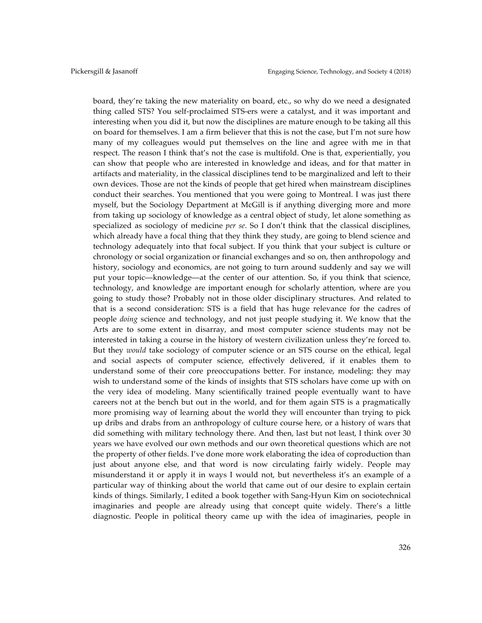board, they're taking the new materiality on board, etc., so why do we need a designated thing called STS? You self-proclaimed STS-ers were a catalyst, and it was important and interesting when you did it, but now the disciplines are mature enough to be taking all this on board for themselves. I am a firm believer that this is not the case, but I'm not sure how many of my colleagues would put themselves on the line and agree with me in that respect. The reason I think that's not the case is multifold. One is that, experientially, you can show that people who are interested in knowledge and ideas, and for that matter in artifacts and materiality, in the classical disciplines tend to be marginalized and left to their own devices. Those are not the kinds of people that get hired when mainstream disciplines conduct their searches. You mentioned that you were going to Montreal. I was just there myself, but the Sociology Department at McGill is if anything diverging more and more from taking up sociology of knowledge as a central object of study, let alone something as specialized as sociology of medicine *per se*. So I don't think that the classical disciplines, which already have a focal thing that they think they study, are going to blend science and technology adequately into that focal subject. If you think that your subject is culture or chronology or social organization or financial exchanges and so on, then anthropology and history, sociology and economics, are not going to turn around suddenly and say we will put your topic—knowledge—at the center of our attention. So, if you think that science, technology, and knowledge are important enough for scholarly attention, where are you going to study those? Probably not in those older disciplinary structures. And related to that is a second consideration: STS is a field that has huge relevance for the cadres of people *doing* science and technology, and not just people studying it. We know that the Arts are to some extent in disarray, and most computer science students may not be interested in taking a course in the history of western civilization unless they're forced to. But they *would* take sociology of computer science or an STS course on the ethical, legal and social aspects of computer science, effectively delivered, if it enables them to understand some of their core preoccupations better. For instance, modeling: they may wish to understand some of the kinds of insights that STS scholars have come up with on the very idea of modeling. Many scientifically trained people eventually want to have careers not at the bench but out in the world, and for them again STS is a pragmatically more promising way of learning about the world they will encounter than trying to pick up dribs and drabs from an anthropology of culture course here, or a history of wars that did something with military technology there. And then, last but not least, I think over 30 years we have evolved our own methods and our own theoretical questions which are not the property of other fields. I've done more work elaborating the idea of coproduction than just about anyone else, and that word is now circulating fairly widely. People may misunderstand it or apply it in ways I would not, but nevertheless it's an example of a particular way of thinking about the world that came out of our desire to explain certain kinds of things. Similarly, I edited a book together with Sang-Hyun Kim on sociotechnical imaginaries and people are already using that concept quite widely. There's a little diagnostic. People in political theory came up with the idea of imaginaries, people in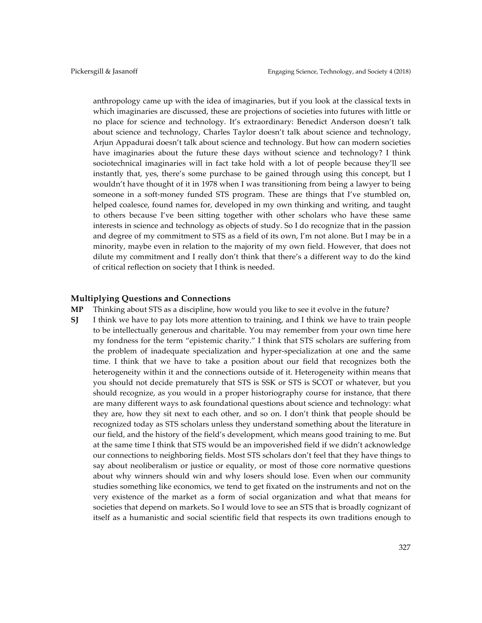anthropology came up with the idea of imaginaries, but if you look at the classical texts in which imaginaries are discussed, these are projections of societies into futures with little or no place for science and technology. It's extraordinary: Benedict Anderson doesn't talk about science and technology, Charles Taylor doesn't talk about science and technology, Arjun Appadurai doesn't talk about science and technology. But how can modern societies have imaginaries about the future these days without science and technology? I think sociotechnical imaginaries will in fact take hold with a lot of people because they'll see instantly that, yes, there's some purchase to be gained through using this concept, but I wouldn't have thought of it in 1978 when I was transitioning from being a lawyer to being someone in a soft-money funded STS program. These are things that I've stumbled on, helped coalesce, found names for, developed in my own thinking and writing, and taught to others because I've been sitting together with other scholars who have these same interests in science and technology as objects of study. So I do recognize that in the passion and degree of my commitment to STS as a field of its own, I'm not alone. But I may be in a minority, maybe even in relation to the majority of my own field. However, that does not dilute my commitment and I really don't think that there's a different way to do the kind of critical reflection on society that I think is needed.

#### **Multiplying Questions and Connections**

- **MP** Thinking about STS as a discipline, how would you like to see it evolve in the future?
- **SJ** I think we have to pay lots more attention to training, and I think we have to train people to be intellectually generous and charitable. You may remember from your own time here my fondness for the term "epistemic charity." I think that STS scholars are suffering from the problem of inadequate specialization and hyper-specialization at one and the same time. I think that we have to take a position about our field that recognizes both the heterogeneity within it and the connections outside of it. Heterogeneity within means that you should not decide prematurely that STS is SSK or STS is SCOT or whatever, but you should recognize, as you would in a proper historiography course for instance, that there are many different ways to ask foundational questions about science and technology: what they are, how they sit next to each other, and so on. I don't think that people should be recognized today as STS scholars unless they understand something about the literature in our field, and the history of the field's development, which means good training to me. But at the same time I think that STS would be an impoverished field if we didn't acknowledge our connections to neighboring fields. Most STS scholars don't feel that they have things to say about neoliberalism or justice or equality, or most of those core normative questions about why winners should win and why losers should lose. Even when our community studies something like economics, we tend to get fixated on the instruments and not on the very existence of the market as a form of social organization and what that means for societies that depend on markets. So I would love to see an STS that is broadly cognizant of itself as a humanistic and social scientific field that respects its own traditions enough to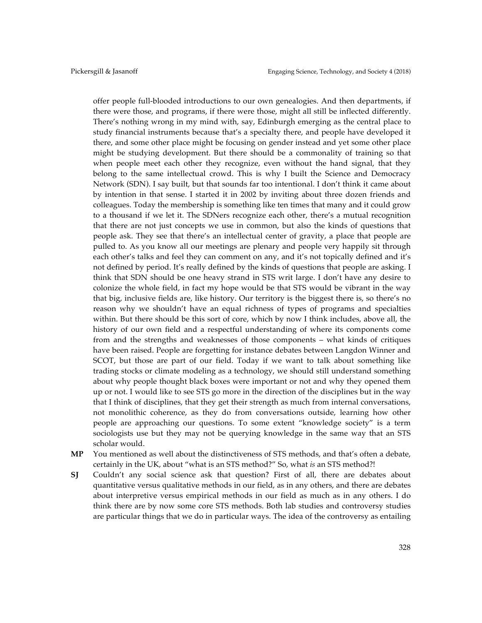offer people full-blooded introductions to our own genealogies. And then departments, if there were those, and programs, if there were those, might all still be inflected differently. There's nothing wrong in my mind with, say, Edinburgh emerging as the central place to study financial instruments because that's a specialty there, and people have developed it there, and some other place might be focusing on gender instead and yet some other place might be studying development. But there should be a commonality of training so that when people meet each other they recognize, even without the hand signal, that they belong to the same intellectual crowd. This is why I built the Science and Democracy Network (SDN). I say built, but that sounds far too intentional. I don't think it came about by intention in that sense. I started it in 2002 by inviting about three dozen friends and colleagues. Today the membership is something like ten times that many and it could grow to a thousand if we let it. The SDNers recognize each other, there's a mutual recognition that there are not just concepts we use in common, but also the kinds of questions that people ask. They see that there's an intellectual center of gravity, a place that people are pulled to. As you know all our meetings are plenary and people very happily sit through each other's talks and feel they can comment on any, and it's not topically defined and it's not defined by period. It's really defined by the kinds of questions that people are asking. I think that SDN should be one heavy strand in STS writ large. I don't have any desire to colonize the whole field, in fact my hope would be that STS would be vibrant in the way that big, inclusive fields are, like history. Our territory is the biggest there is, so there's no reason why we shouldn't have an equal richness of types of programs and specialties within. But there should be this sort of core, which by now I think includes, above all, the history of our own field and a respectful understanding of where its components come from and the strengths and weaknesses of those components – what kinds of critiques have been raised. People are forgetting for instance debates between Langdon Winner and SCOT, but those are part of our field. Today if we want to talk about something like trading stocks or climate modeling as a technology, we should still understand something about why people thought black boxes were important or not and why they opened them up or not. I would like to see STS go more in the direction of the disciplines but in the way that I think of disciplines, that they get their strength as much from internal conversations, not monolithic coherence, as they do from conversations outside, learning how other people are approaching our questions. To some extent "knowledge society" is a term sociologists use but they may not be querying knowledge in the same way that an STS scholar would.

**MP** You mentioned as well about the distinctiveness of STS methods, and that's often a debate, certainly in the UK, about "what is an STS method?" So, what *is* an STS method?!

**SJ** Couldn't any social science ask that question? First of all, there are debates about quantitative versus qualitative methods in our field, as in any others, and there are debates about interpretive versus empirical methods in our field as much as in any others. I do think there are by now some core STS methods. Both lab studies and controversy studies are particular things that we do in particular ways. The idea of the controversy as entailing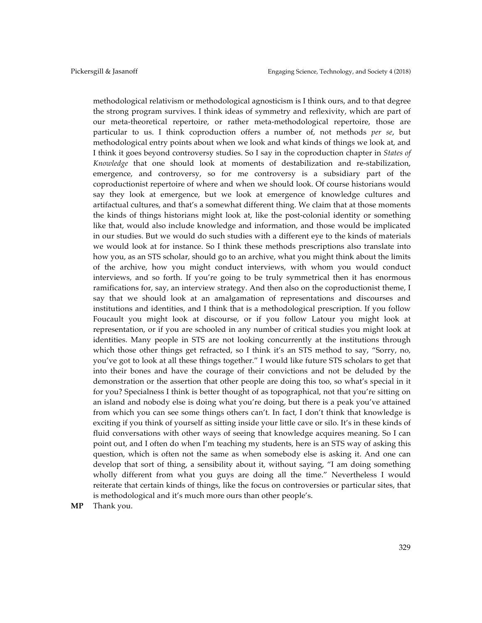methodological relativism or methodological agnosticism is I think ours, and to that degree the strong program survives. I think ideas of symmetry and reflexivity, which are part of our meta-theoretical repertoire, or rather meta-methodological repertoire, those are particular to us. I think coproduction offers a number of, not methods *per se*, but methodological entry points about when we look and what kinds of things we look at, and I think it goes beyond controversy studies. So I say in the coproduction chapter in *States of Knowledge* that one should look at moments of destabilization and re-stabilization, emergence, and controversy, so for me controversy is a subsidiary part of the coproductionist repertoire of where and when we should look. Of course historians would say they look at emergence, but we look at emergence of knowledge cultures and artifactual cultures, and that's a somewhat different thing. We claim that at those moments the kinds of things historians might look at, like the post-colonial identity or something like that, would also include knowledge and information, and those would be implicated in our studies. But we would do such studies with a different eye to the kinds of materials we would look at for instance. So I think these methods prescriptions also translate into how you, as an STS scholar, should go to an archive, what you might think about the limits of the archive, how you might conduct interviews, with whom you would conduct interviews, and so forth. If you're going to be truly symmetrical then it has enormous ramifications for, say, an interview strategy. And then also on the coproductionist theme, I say that we should look at an amalgamation of representations and discourses and institutions and identities, and I think that is a methodological prescription. If you follow Foucault you might look at discourse, or if you follow Latour you might look at representation, or if you are schooled in any number of critical studies you might look at identities. Many people in STS are not looking concurrently at the institutions through which those other things get refracted, so I think it's an STS method to say, "Sorry, no, you've got to look at all these things together." I would like future STS scholars to get that into their bones and have the courage of their convictions and not be deluded by the demonstration or the assertion that other people are doing this too, so what's special in it for you? Specialness I think is better thought of as topographical, not that you're sitting on an island and nobody else is doing what you're doing, but there is a peak you've attained from which you can see some things others can't. In fact, I don't think that knowledge is exciting if you think of yourself as sitting inside your little cave or silo. It's in these kinds of fluid conversations with other ways of seeing that knowledge acquires meaning. So I can point out, and I often do when I'm teaching my students, here is an STS way of asking this question, which is often not the same as when somebody else is asking it. And one can develop that sort of thing, a sensibility about it, without saying, "I am doing something wholly different from what you guys are doing all the time." Nevertheless I would reiterate that certain kinds of things, like the focus on controversies or particular sites, that is methodological and it's much more ours than other people's.

**MP** Thank you.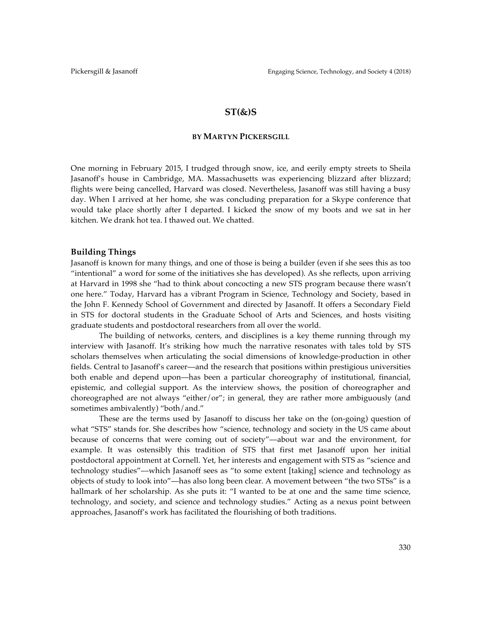## **ST(&)S**

#### **BY MARTYN PICKERSGILL**

One morning in February 2015, I trudged through snow, ice, and eerily empty streets to Sheila Jasanoff's house in Cambridge, MA. Massachusetts was experiencing blizzard after blizzard; flights were being cancelled, Harvard was closed. Nevertheless, Jasanoff was still having a busy day. When I arrived at her home, she was concluding preparation for a Skype conference that would take place shortly after I departed. I kicked the snow of my boots and we sat in her kitchen. We drank hot tea. I thawed out. We chatted.

#### **Building Things**

Jasanoff is known for many things, and one of those is being a builder (even if she sees this as too "intentional" a word for some of the initiatives she has developed). As she reflects, upon arriving at Harvard in 1998 she "had to think about concocting a new STS program because there wasn't one here." Today, Harvard has a vibrant Program in Science, Technology and Society, based in the John F. Kennedy School of Government and directed by Jasanoff. It offers a Secondary Field in STS for doctoral students in the Graduate School of Arts and Sciences, and hosts visiting graduate students and postdoctoral researchers from all over the world.

The building of networks, centers, and disciplines is a key theme running through my interview with Jasanoff. It's striking how much the narrative resonates with tales told by STS scholars themselves when articulating the social dimensions of knowledge-production in other fields. Central to Jasanoff's career––and the research that positions within prestigious universities both enable and depend upon––has been a particular choreography of institutional, financial, epistemic, and collegial support. As the interview shows, the position of choreographer and choreographed are not always "either/or"; in general, they are rather more ambiguously (and sometimes ambivalently) "both/and."

These are the terms used by Jasanoff to discuss her take on the (on-going) question of what "STS" stands for. She describes how "science, technology and society in the US came about because of concerns that were coming out of society"––about war and the environment, for example. It was ostensibly this tradition of STS that first met Jasanoff upon her initial postdoctoral appointment at Cornell. Yet, her interests and engagement with STS as "science and technology studies"––which Jasanoff sees as "to some extent [taking] science and technology as objects of study to look into"––has also long been clear. A movement between "the two STSs" is a hallmark of her scholarship. As she puts it: "I wanted to be at one and the same time science, technology, and society, and science and technology studies." Acting as a nexus point between approaches, Jasanoff's work has facilitated the flourishing of both traditions.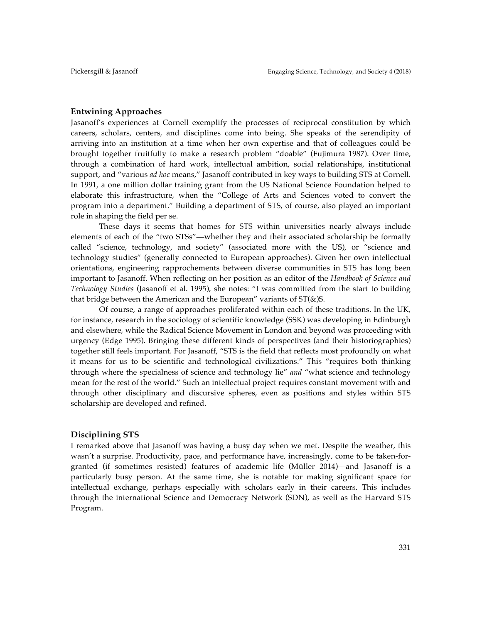## **Entwining Approaches**

Jasanoff's experiences at Cornell exemplify the processes of reciprocal constitution by which careers, scholars, centers, and disciplines come into being. She speaks of the serendipity of arriving into an institution at a time when her own expertise and that of colleagues could be brought together fruitfully to make a research problem "doable" (Fujimura 1987). Over time, through a combination of hard work, intellectual ambition, social relationships, institutional support, and "various *ad hoc* means," Jasanoff contributed in key ways to building STS at Cornell. In 1991, a one million dollar training grant from the US National Science Foundation helped to elaborate this infrastructure, when the "College of Arts and Sciences voted to convert the program into a department." Building a department of STS, of course, also played an important role in shaping the field per se.

These days it seems that homes for STS within universities nearly always include elements of each of the "two STSs"––whether they and their associated scholarship be formally called "science, technology, and society" (associated more with the US), or "science and technology studies" (generally connected to European approaches). Given her own intellectual orientations, engineering rapprochements between diverse communities in STS has long been important to Jasanoff. When reflecting on her position as an editor of the *Handbook of Science and Technology Studies* (Jasanoff et al. 1995), she notes: "I was committed from the start to building that bridge between the American and the European" variants of  $ST(\&)S$ .

Of course, a range of approaches proliferated within each of these traditions. In the UK, for instance, research in the sociology of scientific knowledge (SSK) was developing in Edinburgh and elsewhere, while the Radical Science Movement in London and beyond was proceeding with urgency (Edge 1995). Bringing these different kinds of perspectives (and their historiographies) together still feels important. For Jasanoff, "STS is the field that reflects most profoundly on what it means for us to be scientific and technological civilizations." This "requires both thinking through where the specialness of science and technology lie" *and* "what science and technology mean for the rest of the world." Such an intellectual project requires constant movement with and through other disciplinary and discursive spheres, even as positions and styles within STS scholarship are developed and refined.

#### **Disciplining STS**

I remarked above that Jasanoff was having a busy day when we met. Despite the weather, this wasn't a surprise. Productivity, pace, and performance have, increasingly, come to be taken-forgranted (if sometimes resisted) features of academic life (Müller 2014)––and Jasanoff is a particularly busy person. At the same time, she is notable for making significant space for intellectual exchange, perhaps especially with scholars early in their careers. This includes through the international Science and Democracy Network (SDN), as well as the Harvard STS Program.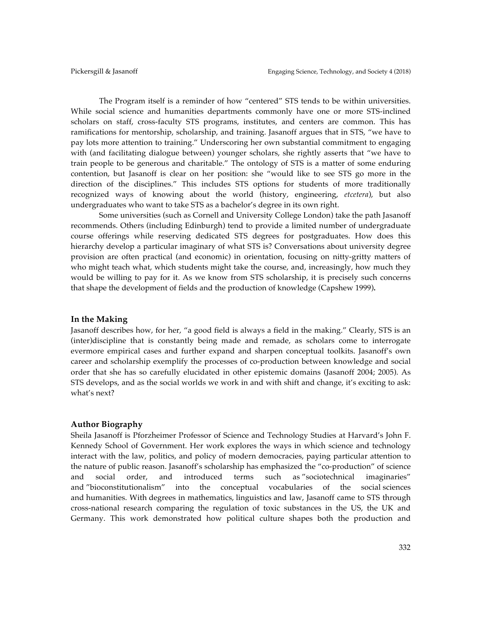The Program itself is a reminder of how "centered" STS tends to be within universities. While social science and humanities departments commonly have one or more STS-inclined scholars on staff, cross-faculty STS programs, institutes, and centers are common. This has ramifications for mentorship, scholarship, and training. Jasanoff argues that in STS, "we have to pay lots more attention to training." Underscoring her own substantial commitment to engaging with (and facilitating dialogue between) younger scholars, she rightly asserts that "we have to train people to be generous and charitable." The ontology of STS is a matter of some enduring contention, but Jasanoff is clear on her position: she "would like to see STS go more in the direction of the disciplines." This includes STS options for students of more traditionally recognized ways of knowing about the world (history, engineering, *etcetera*), but also undergraduates who want to take STS as a bachelor's degree in its own right.

Some universities (such as Cornell and University College London) take the path Jasanoff recommends. Others (including Edinburgh) tend to provide a limited number of undergraduate course offerings while reserving dedicated STS degrees for postgraduates. How does this hierarchy develop a particular imaginary of what STS is? Conversations about university degree provision are often practical (and economic) in orientation, focusing on nitty-gritty matters of who might teach what, which students might take the course, and, increasingly, how much they would be willing to pay for it. As we know from STS scholarship, it is precisely such concerns that shape the development of fields and the production of knowledge (Capshew 1999)**.**

#### **In the Making**

Jasanoff describes how, for her, "a good field is always a field in the making." Clearly, STS is an (inter)discipline that is constantly being made and remade, as scholars come to interrogate evermore empirical cases and further expand and sharpen conceptual toolkits. Jasanoff's own career and scholarship exemplify the processes of co-production between knowledge and social order that she has so carefully elucidated in other epistemic domains (Jasanoff 2004; 2005). As STS develops, and as the social worlds we work in and with shift and change, it's exciting to ask: what's next?

# **Author Biography**

Sheila Jasanoff is Pforzheimer Professor of Science and Technology Studies at Harvard's John F. Kennedy School of Government. Her work explores the ways in which science and technology interact with the law, politics, and policy of modern democracies, paying particular attention to the nature of public reason. Jasanoff's scholarship has emphasized the "co-production" of science and social order, and introduced terms such as "sociotechnical imaginaries" and "bioconstitutionalism" into the conceptual vocabularies of the social sciences and humanities. With degrees in mathematics, linguistics and law, Jasanoff came to STS through cross-national research comparing the regulation of toxic substances in the US, the UK and Germany. This work demonstrated how political culture shapes both the production and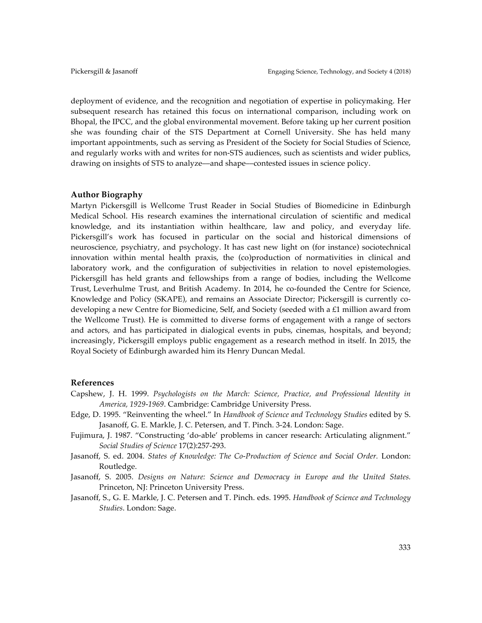deployment of evidence, and the recognition and negotiation of expertise in policymaking. Her subsequent research has retained this focus on international comparison, including work on Bhopal, the IPCC, and the global environmental movement. Before taking up her current position she was founding chair of the STS Department at Cornell University. She has held many important appointments, such as serving as President of the Society for Social Studies of Science, and regularly works with and writes for non-STS audiences, such as scientists and wider publics, drawing on insights of STS to analyze––and shape––contested issues in science policy.

#### **Author Biography**

Martyn Pickersgill is Wellcome Trust Reader in Social Studies of Biomedicine in Edinburgh Medical School. His research examines the international circulation of scientific and medical knowledge, and its instantiation within healthcare, law and policy, and everyday life. Pickersgill's work has focused in particular on the social and historical dimensions of neuroscience, psychiatry, and psychology. It has cast new light on (for instance) sociotechnical innovation within mental health praxis, the (co)production of normativities in clinical and laboratory work, and the configuration of subjectivities in relation to novel epistemologies. Pickersgill has held grants and fellowships from a range of bodies, including the Wellcome Trust, Leverhulme Trust, and British Academy. In 2014, he co-founded the Centre for Science, Knowledge and Policy (SKAPE), and remains an Associate Director; Pickersgill is currently codeveloping a new Centre for Biomedicine, Self, and Society (seeded with a £1 million award from the Wellcome Trust). He is committed to diverse forms of engagement with a range of sectors and actors, and has participated in dialogical events in pubs, cinemas, hospitals, and beyond; increasingly, Pickersgill employs public engagement as a research method in itself. In 2015, the Royal Society of Edinburgh awarded him its Henry Duncan Medal.

#### **References**

- Capshew, J. H. 1999. *Psychologists on the March: Science, Practice, and Professional Identity in America, 1929-1969*. Cambridge: Cambridge University Press.
- Edge, D. 1995. "Reinventing the wheel." In *Handbook of Science and Technology Studies* edited by S. Jasanoff, G. E. Markle, J. C. Petersen, and T. Pinch. 3-24. London: Sage.
- Fujimura, J. 1987. "Constructing 'do-able' problems in cancer research: Articulating alignment." *Social Studies of Science* 17(2):257-293.
- Jasanoff, S. ed. 2004. *States of Knowledge: The Co-Production of Science and Social Order.* London: Routledge.
- Jasanoff, S. 2005. *Designs on Nature: Science and Democracy in Europe and the United States.*  Princeton, NJ: Princeton University Press.
- Jasanoff, S., G. E. Markle, J. C. Petersen and T. Pinch. eds. 1995. *Handbook of Science and Technology Studies*. London: Sage.